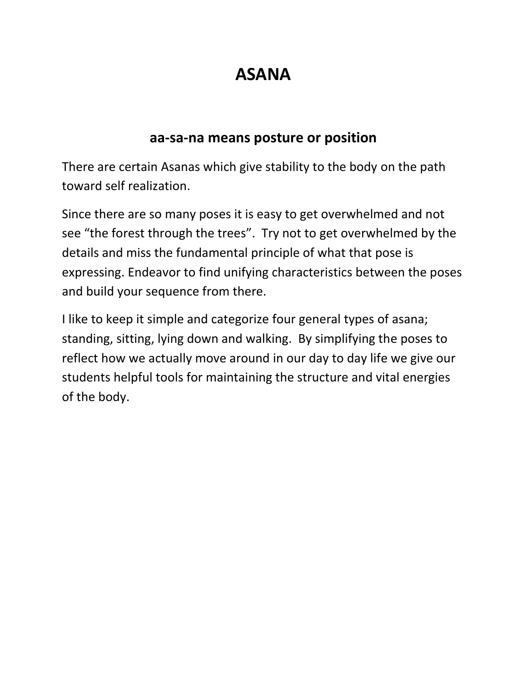## **ASANA**

#### **aa-sa-na means posture or position**

There are certain Asanas which give stability to the body on the path toward self realization.

Since there are so many poses it is easy to get overwhelmed and not see "the forest through the trees". Try not to get overwhelmed by the details and miss the fundamental principle of what that pose is expressing. Endeavor to find unifying characteristics between the poses and build your sequence from there.

I like to keep it simple and categorize four general types of asana; standing, sitting, lying down and walking. By simplifying the poses to reflect how we actually move around in our day to day life we give our students helpful tools for maintaining the structure and vital energies of the body.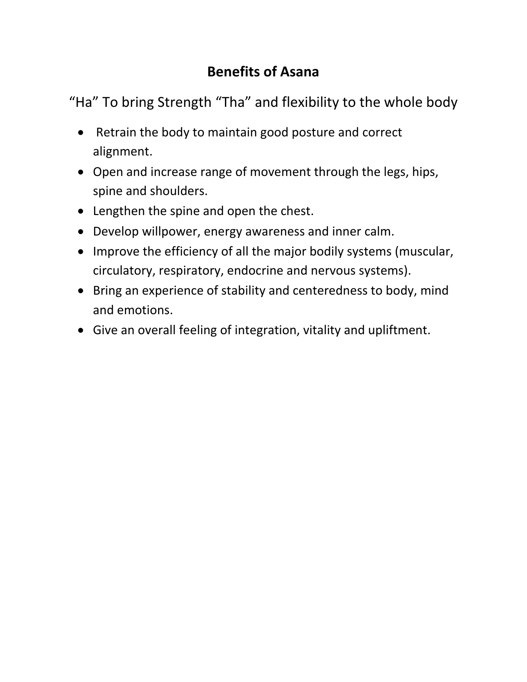#### **Benefits of Asana**

"Ha" To bring Strength "Tha" and flexibility to the whole body

- Retrain the body to maintain good posture and correct alignment.
- Open and increase range of movement through the legs, hips, spine and shoulders.
- Lengthen the spine and open the chest.
- Develop willpower, energy awareness and inner calm.
- Improve the efficiency of all the major bodily systems (muscular, circulatory, respiratory, endocrine and nervous systems).
- Bring an experience of stability and centeredness to body, mind and emotions.
- Give an overall feeling of integration, vitality and upliftment.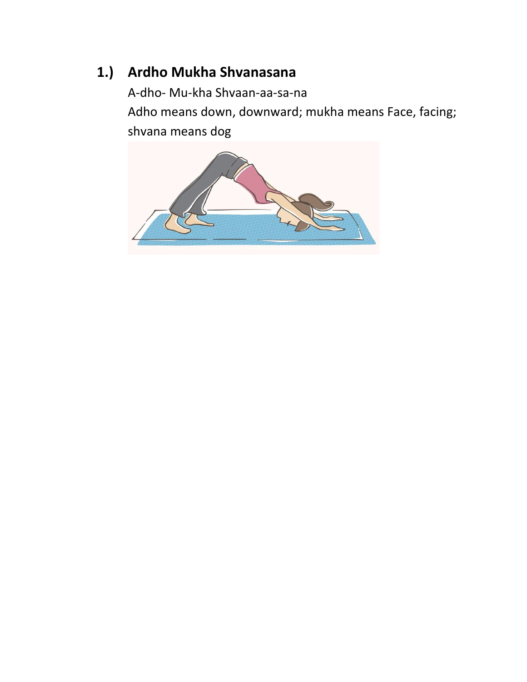#### **1.) Ardho Mukha Shvanasana**

A-dho- Mu-kha Shvaan-aa-sa-na Adho means down, downward; mukha means Face, facing; shvana means dog

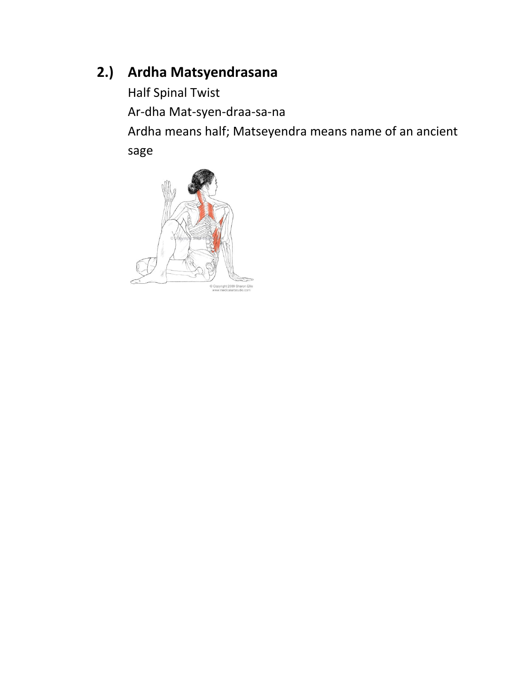#### **2.) Ardha Matsyendrasana**

Half Spinal Twist Ar-dha Mat-syen-draa-sa-na Ardha means half; Matseyendra means name of an ancient sage

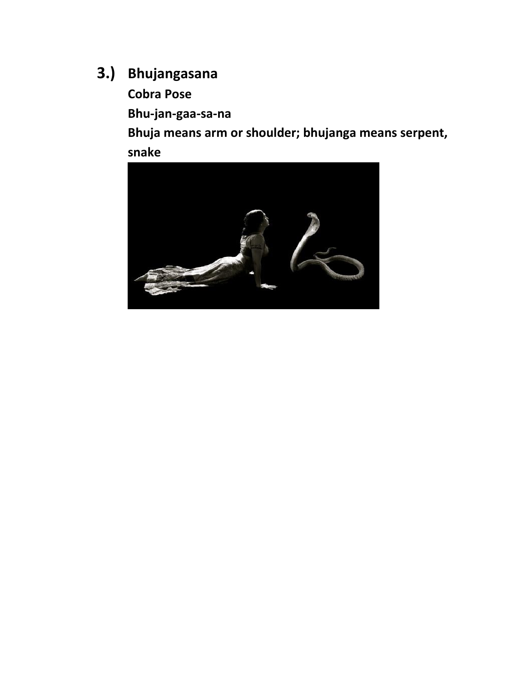## **3.) Bhujangasana**

**Cobra Pose**

**Bhu-jan-gaa-sa-na**

**Bhuja means arm or shoulder; bhujanga means serpent, snake**

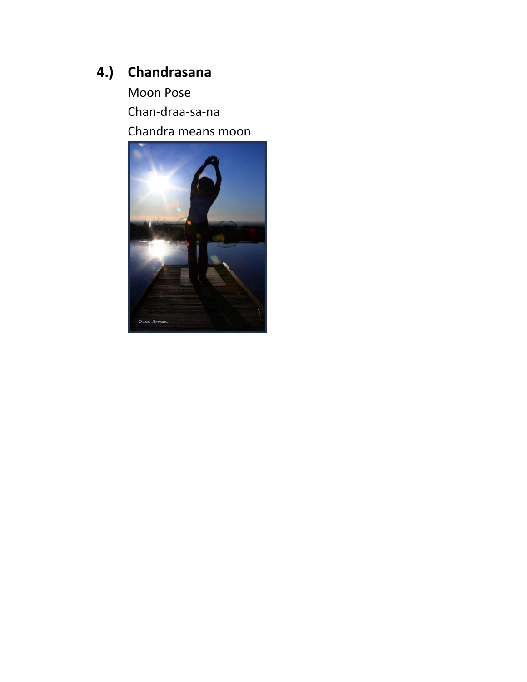#### **4.) Chandrasana**

Moon Pose Chan-draa-sa-na Chandra means moon

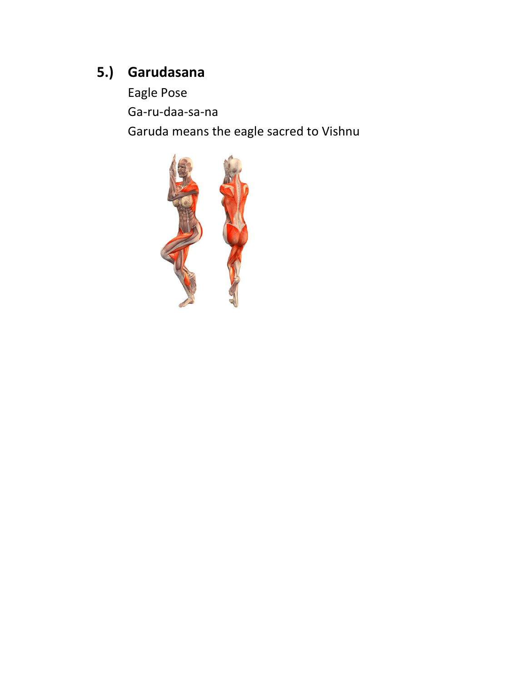#### 5.) Garudasana

Eagle Pose Ga-ru-daa-sa-na Garuda means the eagle sacred to Vishnu

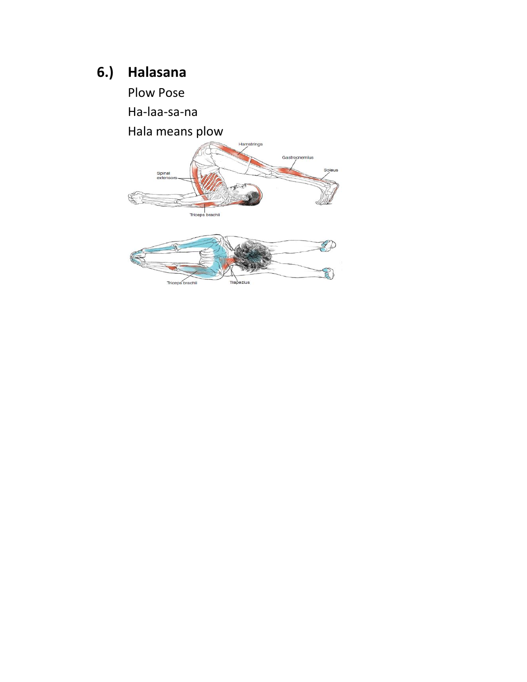## 6.) Halasana

Plow Pose

Ha-laa-sa-na

Hala means plow

Triceps brachii



ezius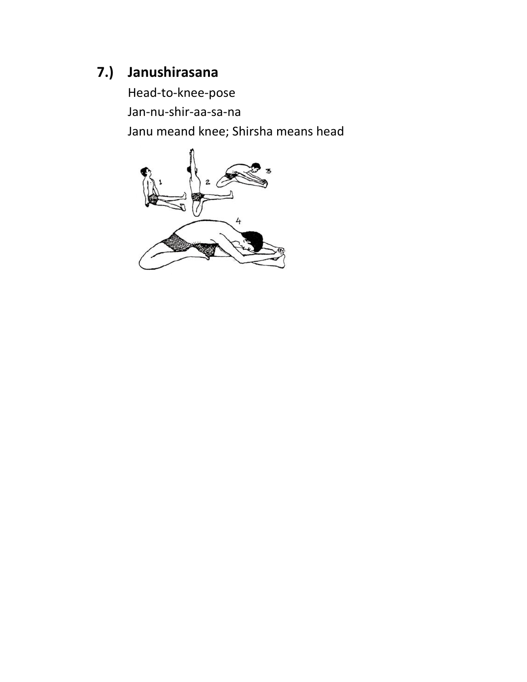#### **7.) Janushirasana**

Head-to-knee-pose Jan-nu-shir-aa-sa-na Janu meand knee; Shirsha means head

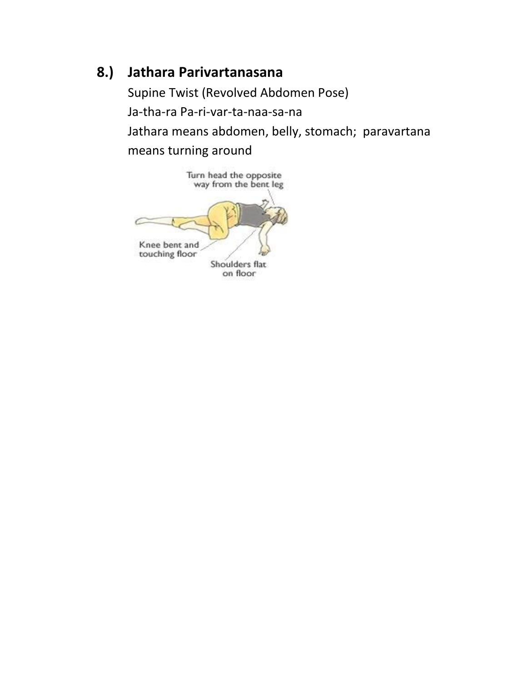#### **8.) Jathara Parivartanasana**

Supine Twist (Revolved Abdomen Pose) Ja-tha-ra Pa-ri-var-ta-naa-sa-na Jathara means abdomen, belly, stomach; paravartana means turning around

Turn head the opposite<br>way from the bent leg Knee bent and touching floor Shoulders flat on floor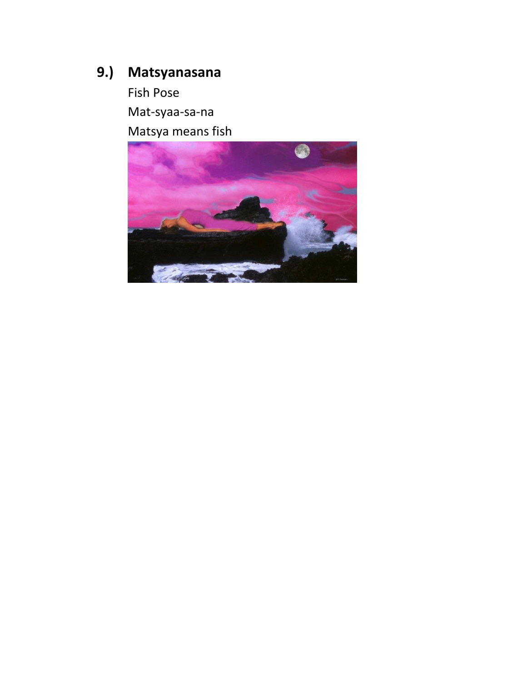### 9.) Matsyanasana

Fish Pose Mat-syaa-sa-na Matsya means fish

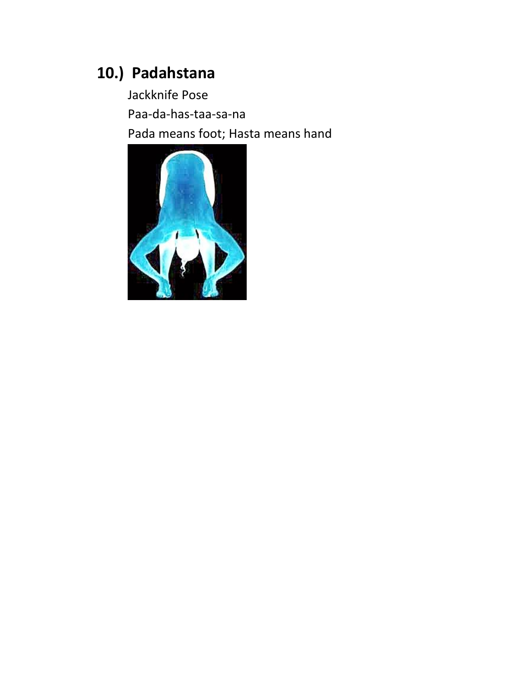### 10.) Padahstana

Jackknife Pose Paa-da-has-taa-sa-na Pada means foot; Hasta means hand

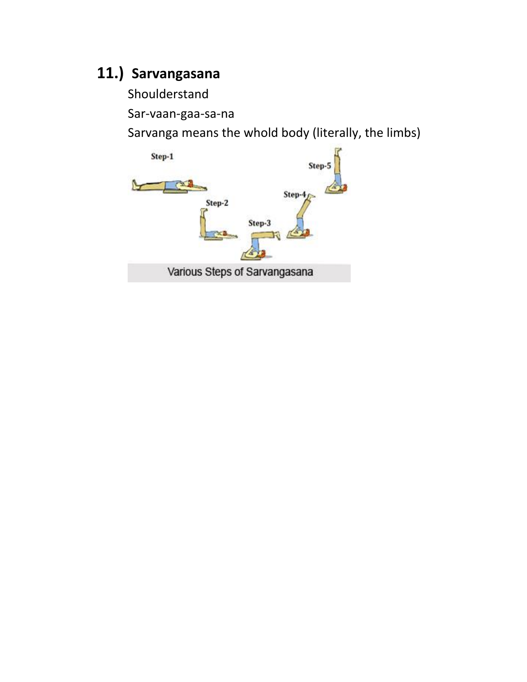### **11.) Sarvangasana**

Shoulderstand

Sar-vaan-gaa-sa-na

Sarvanga means the whold body (literally, the limbs)

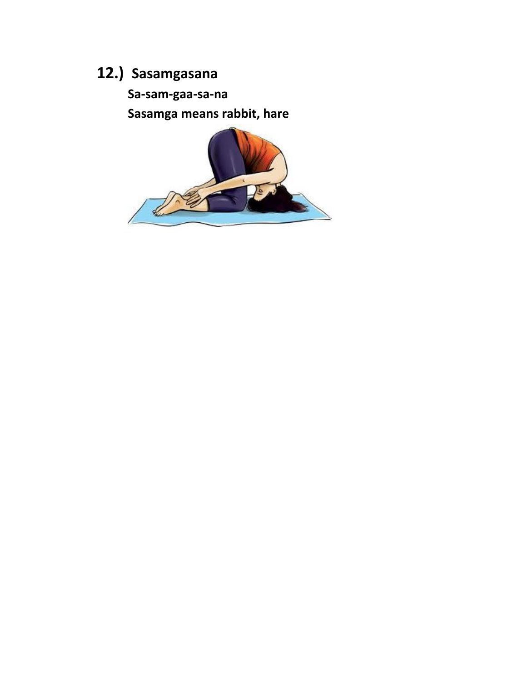# 12.) Sasamgasana

Sa-sam-gaa-sa-na

Sasamga means rabbit, hare

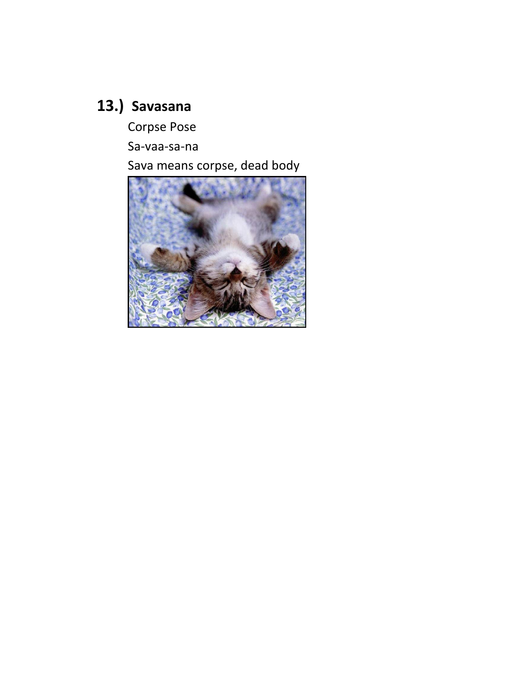# 13.) Savasana

Corpse Pose

Sa-vaa-sa-na

Sava means corpse, dead body

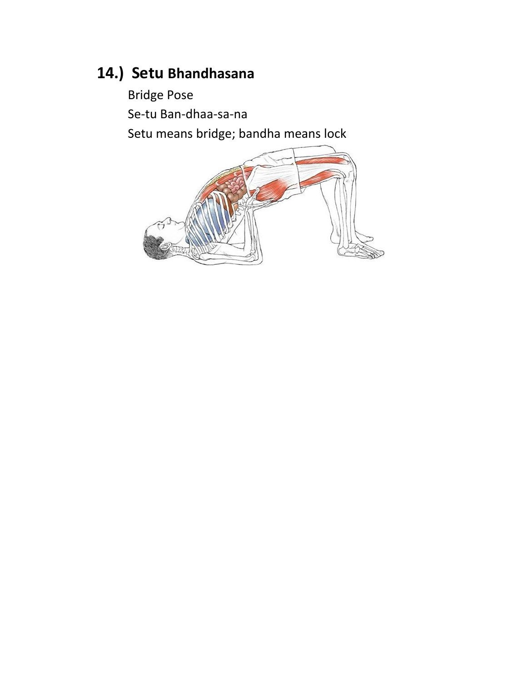### **14.) Setu Bhandhasana**

Bridge Pose Se-tu Ban-dhaa-sa-na Setu means bridge; bandha means lock

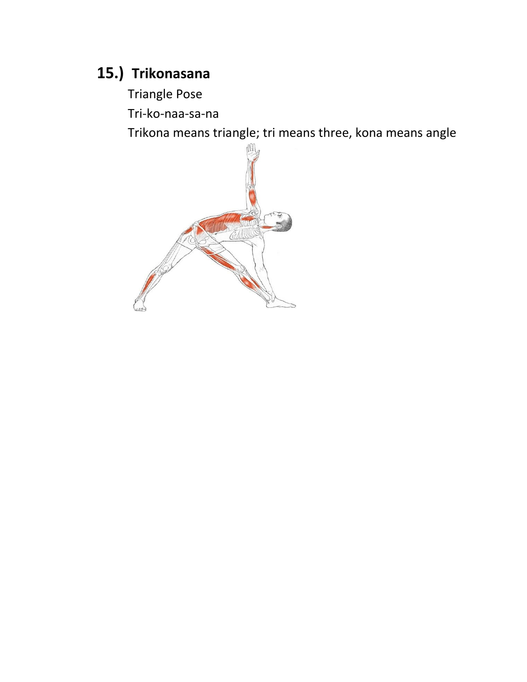### 15.) Trikonasana

**Triangle Pose** 

Tri-ko-naa-sa-na

Trikona means triangle; tri means three, kona means angle

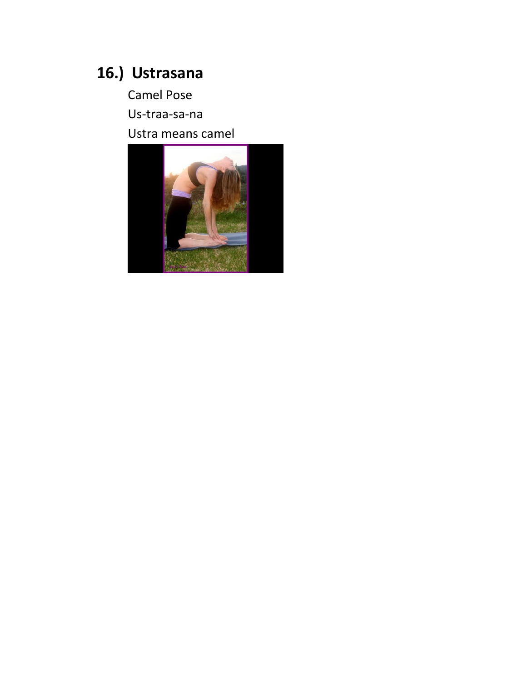# 16.) Ustrasana

**Camel Pose** Us-traa-sa-na Ustra means camel

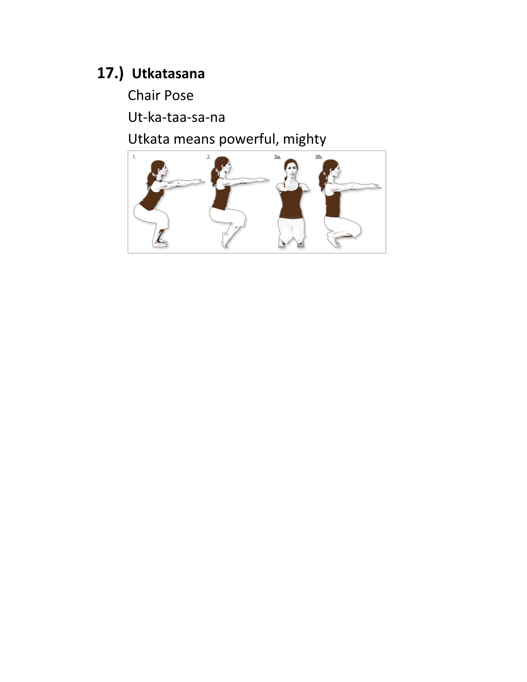### 17.) Utkatasana

**Chair Pose** 

Ut-ka-taa-sa-na

Utkata means powerful, mighty

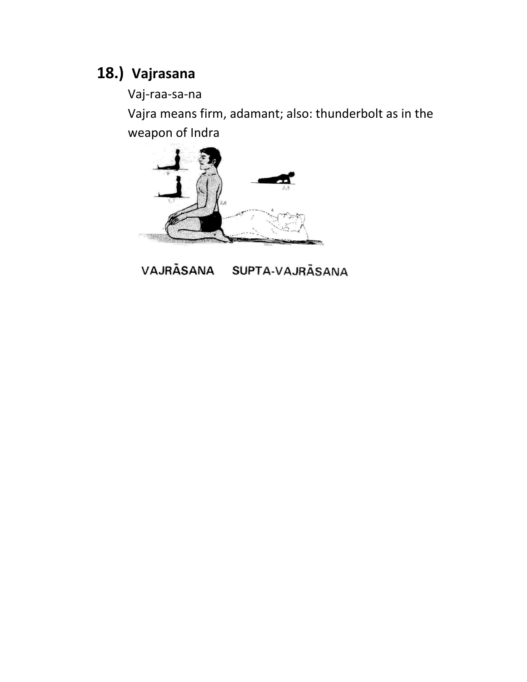### **18.) Vajrasana**

Vaj-raa-sa-na

Vajra means firm, adamant; also: thunderbolt as in the weapon of Indra



VAJRĀSANA SUPTA-VAJRĀSANA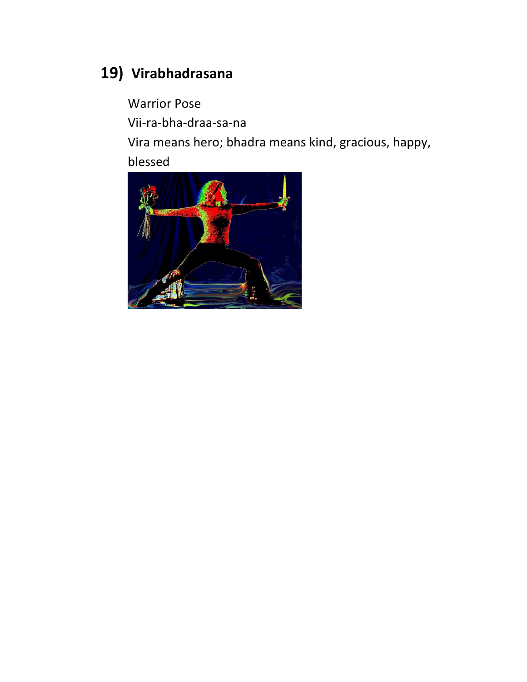## **19) Virabhadrasana**

Warrior Pose

Vii-ra-bha-draa-sa-na

Vira means hero; bhadra means kind, gracious, happy, blessed

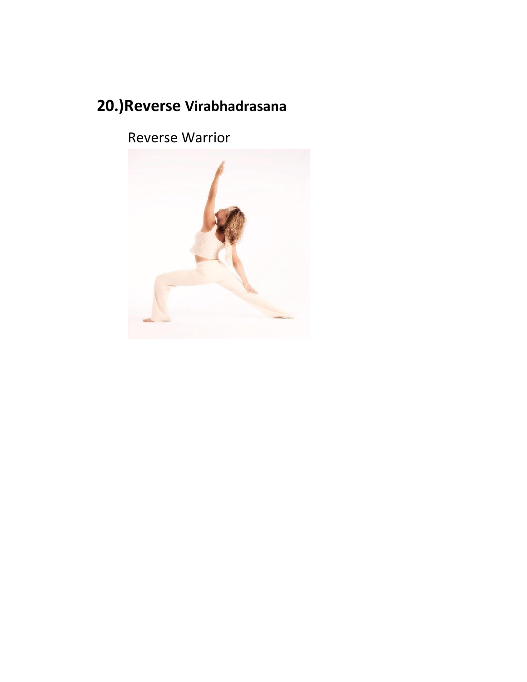# **20.)Reverse Virabhadrasana**

Reverse Warrior

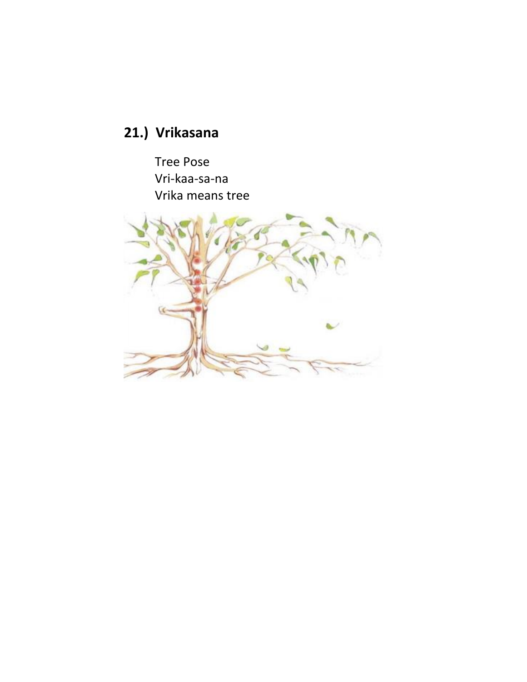# 21.) Vrikasana

**Tree Pose** Vri-kaa-sa-na Vrika means tree